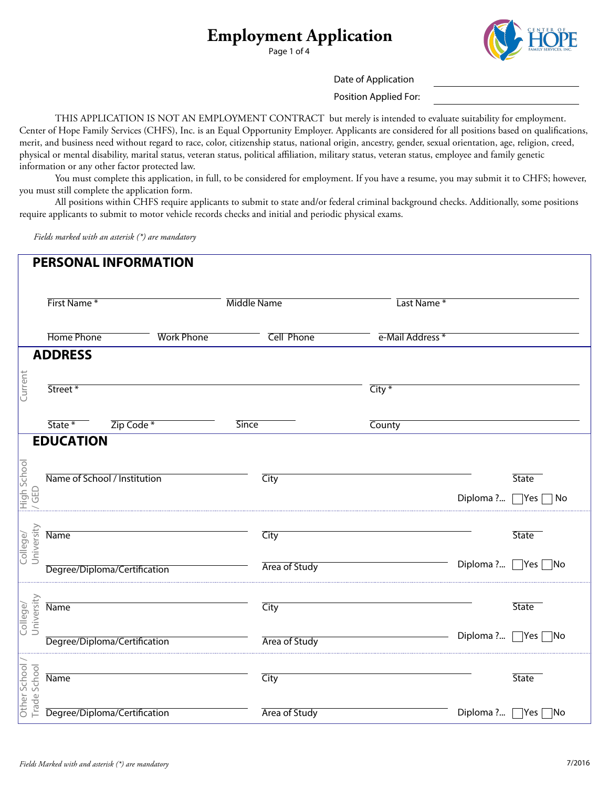Page 1 of 4



Date of Application

Position Applied For:

 THIS APPLICATION IS NOT AN EMPLOYMENT CONTRACT but merely is intended to evaluate suitability for employment. Center of Hope Family Services (CHFS), Inc. is an Equal Opportunity Employer. Applicants are considered for all positions based on qualifcations, merit, and business need without regard to race, color, citizenship status, national origin, ancestry, gender, sexual orientation, age, religion, creed, physical or mental disability, marital status, veteran status, political afliation, military status, veteran status, employee and family genetic information or any other factor protected law.

 You must complete this application, in full, to be considered for employment. If you have a resume, you may submit it to CHFS; however, you must still complete the application form.

 All positions within CHFS require applicants to submit to state and/or federal criminal background checks. Additionally, some positions require applicants to submit to motor vehicle records checks and initial and periodic physical exams.

*Fields marked with an asterisk (\*) are mandatory*

|                                | <b>PERSONAL INFORMATION</b>  |                   |                    |                   |                    |                                                |
|--------------------------------|------------------------------|-------------------|--------------------|-------------------|--------------------|------------------------------------------------|
|                                | First Name*                  |                   | <b>Middle Name</b> |                   | Last Name*         |                                                |
|                                | <b>Home Phone</b>            | <b>Work Phone</b> |                    | <b>Cell Phone</b> | e-Mail Address *   |                                                |
|                                | <b>ADDRESS</b>               |                   |                    |                   |                    |                                                |
| Current                        | Street*                      |                   |                    |                   | $\overline{City*}$ |                                                |
|                                | Zip Code *<br>State *        |                   | <b>Since</b>       |                   | County             |                                                |
|                                | <b>EDUCATION</b>             |                   |                    |                   |                    |                                                |
| High School<br>/ GED           | Name of School / Institution |                   |                    | City              |                    | <b>State</b><br>Diploma ? $\Box$ Yes $\Box$ No |
| University<br>College/         | <b>Name</b>                  |                   |                    | City              |                    | <b>State</b>                                   |
|                                | Degree/Diploma/Certification |                   |                    | Area of Study     |                    | Diploma ?   Yes   No                           |
| University<br>College/         | <b>Name</b>                  |                   |                    | City              |                    | <b>State</b>                                   |
|                                | Degree/Diploma/Certification |                   |                    | Area of Study     |                    | Diploma ?   Yes   No                           |
| Other School /<br>Trade School | <b>Name</b>                  |                   |                    | City              |                    | <b>State</b>                                   |
|                                | Degree/Diploma/Certification |                   |                    | Area of Study     |                    | Diploma ?   Yes   No                           |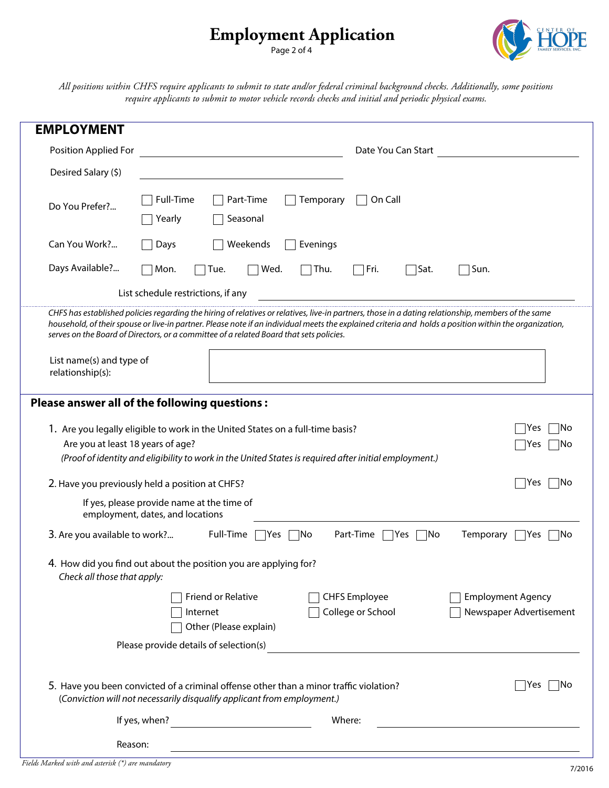Page 2 of 4



*All positions within CHFS require applicants to submit to state and/or federal criminal background checks. Additionally, some positions require applicants to submit to motor vehicle records checks and initial and periodic physical exams.*

| <b>EMPLOYMENT</b>                            |                                                                                                                                                                                                                                                                                                                                                                                                          |  |  |  |  |
|----------------------------------------------|----------------------------------------------------------------------------------------------------------------------------------------------------------------------------------------------------------------------------------------------------------------------------------------------------------------------------------------------------------------------------------------------------------|--|--|--|--|
| Position Applied For                         | Date You Can Start                                                                                                                                                                                                                                                                                                                                                                                       |  |  |  |  |
| Desired Salary (\$)                          |                                                                                                                                                                                                                                                                                                                                                                                                          |  |  |  |  |
| Do You Prefer?                               | Full-Time<br>Part-Time<br>On Call<br>Temporary<br>Seasonal<br>Yearly                                                                                                                                                                                                                                                                                                                                     |  |  |  |  |
| Can You Work?                                | Weekends<br>Evenings<br>Days                                                                                                                                                                                                                                                                                                                                                                             |  |  |  |  |
| Days Available?                              | $\bigcap$ Sat.<br>Mon.<br>Tue.<br>Wed.<br>Thu.<br>    Fri.<br>Sun.                                                                                                                                                                                                                                                                                                                                       |  |  |  |  |
|                                              | List schedule restrictions, if any                                                                                                                                                                                                                                                                                                                                                                       |  |  |  |  |
|                                              | CHFS has established policies regarding the hiring of relatives or relatives, live-in partners, those in a dating relationship, members of the same<br>household, of their spouse or live-in partner. Please note if an individual meets the explained criteria and holds a position within the organization,<br>serves on the Board of Directors, or a committee of a related Board that sets policies. |  |  |  |  |
| List name(s) and type of<br>relationship(s): |                                                                                                                                                                                                                                                                                                                                                                                                          |  |  |  |  |
|                                              | Please answer all of the following questions :                                                                                                                                                                                                                                                                                                                                                           |  |  |  |  |
| Are you at least 18 years of age?            | 1. Are you legally eligible to work in the United States on a full-time basis?<br>Yes<br>INo<br> No<br>Yes<br>(Proof of identity and eligibility to work in the United States is required after initial employment.)                                                                                                                                                                                     |  |  |  |  |
|                                              | Yes<br>∣No<br>2. Have you previously held a position at CHFS?                                                                                                                                                                                                                                                                                                                                            |  |  |  |  |
|                                              | If yes, please provide name at the time of<br>employment, dates, and locations                                                                                                                                                                                                                                                                                                                           |  |  |  |  |
| 3. Are you available to work?                | Full-Time [<br>Part-Time<br>Yes<br> No<br>Temporary<br> Yes<br>$\neg$ No<br>Yes<br> No                                                                                                                                                                                                                                                                                                                   |  |  |  |  |
| Check all those that apply:                  | 4. How did you find out about the position you are applying for?                                                                                                                                                                                                                                                                                                                                         |  |  |  |  |
|                                              | <b>CHFS Employee</b><br><b>Employment Agency</b><br>Friend or Relative<br>College or School<br>Newspaper Advertisement<br>Internet<br>Other (Please explain)                                                                                                                                                                                                                                             |  |  |  |  |
|                                              | Please provide details of selection(s)<br><u> 1980 - Johann Barbara, martin amerikan basal dan berasal dalam basal dalam basal dan berasal dan berasal dan</u>                                                                                                                                                                                                                                           |  |  |  |  |
|                                              | 5. Have you been convicted of a criminal offense other than a minor traffic violation?<br>Yes<br>∣No<br>(Conviction will not necessarily disqualify applicant from employment.)                                                                                                                                                                                                                          |  |  |  |  |
|                                              | If yes, when? $\frac{1}{\sqrt{1-\frac{1}{2}}}\left\{ \frac{1}{2} + \frac{1}{2} + \frac{1}{2} + \frac{1}{2} + \frac{1}{2} + \frac{1}{2} + \frac{1}{2} + \frac{1}{2} + \frac{1}{2} + \frac{1}{2} + \frac{1}{2} + \frac{1}{2} + \frac{1}{2} + \frac{1}{2} + \frac{1}{2} + \frac{1}{2} + \frac{1}{2} + \frac{1}{2} + \frac{1}{2} + \frac{1}{2} + \frac{1}{2} + \frac{1}{2} + \frac{1}{2} + \frac$<br>Where:  |  |  |  |  |
| Reason:                                      |                                                                                                                                                                                                                                                                                                                                                                                                          |  |  |  |  |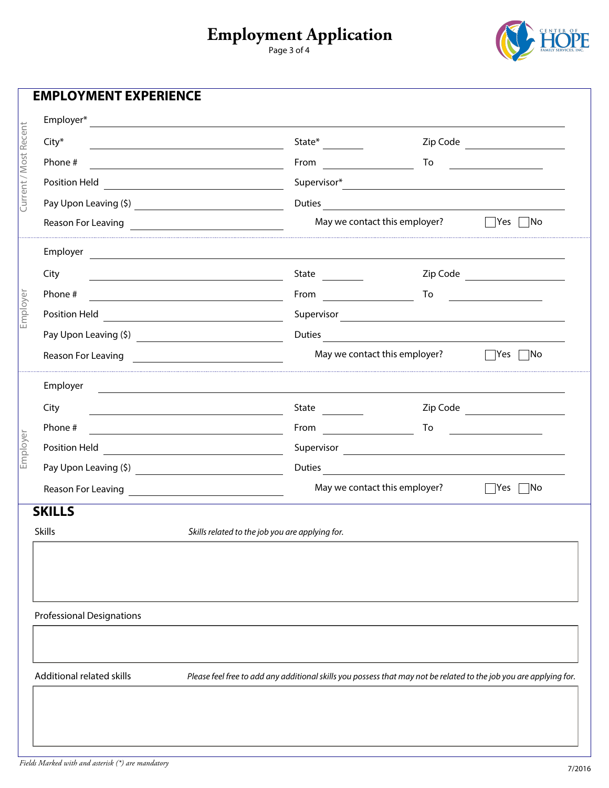Page 3 of 4



|                       | <b>EMPLOYMENT EXPERIENCE</b>                                                                                                                                                                                                         |                                                                                                                                                                                                                                |                                                    |                                                                                                                            |  |  |  |
|-----------------------|--------------------------------------------------------------------------------------------------------------------------------------------------------------------------------------------------------------------------------------|--------------------------------------------------------------------------------------------------------------------------------------------------------------------------------------------------------------------------------|----------------------------------------------------|----------------------------------------------------------------------------------------------------------------------------|--|--|--|
|                       | Employer*<br><u> 1989 - Jan Sterling Sterling (d. 1989)</u>                                                                                                                                                                          |                                                                                                                                                                                                                                |                                                    |                                                                                                                            |  |  |  |
| Current / Most Recent | City*                                                                                                                                                                                                                                | State*                                                                                                                                                                                                                         |                                                    | To<br><u> 1989 - Jan Barbara III, prima postala prima prima prima prima prima prima prima prima prima prima prima prim</u> |  |  |  |
|                       | Phone #                                                                                                                                                                                                                              | From $\qquad \qquad \qquad$                                                                                                                                                                                                    |                                                    |                                                                                                                            |  |  |  |
|                       | Position Held<br><u> 1989 - Johann Barbara, martxa alemaniar a</u>                                                                                                                                                                   |                                                                                                                                                                                                                                | Duties                                             |                                                                                                                            |  |  |  |
|                       |                                                                                                                                                                                                                                      |                                                                                                                                                                                                                                |                                                    |                                                                                                                            |  |  |  |
|                       | Reason For Leaving <b>Example 20</b> Processes and the season For Leaving                                                                                                                                                            |                                                                                                                                                                                                                                | May we contact this employer?<br>   Yes ∏No        |                                                                                                                            |  |  |  |
|                       | Employer<br><u> 1980 - Andrea Andrea Andrea Andrea Andrea Andrea Andrea Andrea Andrea Andrea Andrea Andrea Andrea Andrea Andr</u>                                                                                                    |                                                                                                                                                                                                                                |                                                    |                                                                                                                            |  |  |  |
|                       | City<br><u> 1980 - Johann Barbara, martxa alemaniar a</u>                                                                                                                                                                            | State                                                                                                                                                                                                                          |                                                    |                                                                                                                            |  |  |  |
|                       | Phone #                                                                                                                                                                                                                              | From $\qquad \qquad$                                                                                                                                                                                                           | To                                                 |                                                                                                                            |  |  |  |
| Employer              |                                                                                                                                                                                                                                      |                                                                                                                                                                                                                                |                                                    |                                                                                                                            |  |  |  |
|                       |                                                                                                                                                                                                                                      |                                                                                                                                                                                                                                |                                                    |                                                                                                                            |  |  |  |
|                       | Reason For Leaving                                                                                                                                                                                                                   |                                                                                                                                                                                                                                | May we contact this employer?                      | $\Box$ Yes $\Box$ No                                                                                                       |  |  |  |
|                       | Employer                                                                                                                                                                                                                             |                                                                                                                                                                                                                                |                                                    |                                                                                                                            |  |  |  |
|                       | City<br><u> 1989 - Johann Barbara, martxa amerikan personal (h. 1989).</u>                                                                                                                                                           | State $\frac{1}{2}$                                                                                                                                                                                                            |                                                    | Zip Code                                                                                                                   |  |  |  |
|                       | Phone #<br><u> 1980 - Johann Barbara, martxa alemaniar a</u>                                                                                                                                                                         | From the contract of the contract of the contract of the contract of the contract of the contract of the contract of the contract of the contract of the contract of the contract of the contract of the contract of the contr | To                                                 | the company of the company of the company                                                                                  |  |  |  |
| Employer              |                                                                                                                                                                                                                                      |                                                                                                                                                                                                                                |                                                    |                                                                                                                            |  |  |  |
|                       |                                                                                                                                                                                                                                      | Duties                                                                                                                                                                                                                         |                                                    |                                                                                                                            |  |  |  |
|                       | Reason For Leaving <u>experience and the set of the set of the set of the set of the set of the set of the set of the set of the set of the set of the set of the set of the set of the set of the set of the set of the set of </u> |                                                                                                                                                                                                                                | May we contact this employer? $\Box$ Yes $\Box$ No |                                                                                                                            |  |  |  |
|                       | <b>SKILLS</b>                                                                                                                                                                                                                        |                                                                                                                                                                                                                                |                                                    |                                                                                                                            |  |  |  |
|                       | <b>Skills</b>                                                                                                                                                                                                                        | Skills related to the job you are applying for.                                                                                                                                                                                |                                                    |                                                                                                                            |  |  |  |
|                       |                                                                                                                                                                                                                                      |                                                                                                                                                                                                                                |                                                    |                                                                                                                            |  |  |  |
|                       |                                                                                                                                                                                                                                      |                                                                                                                                                                                                                                |                                                    |                                                                                                                            |  |  |  |
|                       | <b>Professional Designations</b>                                                                                                                                                                                                     |                                                                                                                                                                                                                                |                                                    |                                                                                                                            |  |  |  |
|                       |                                                                                                                                                                                                                                      |                                                                                                                                                                                                                                |                                                    |                                                                                                                            |  |  |  |
|                       | Additional related skills<br>Please feel free to add any additional skills you possess that may not be related to the job you are applying for.                                                                                      |                                                                                                                                                                                                                                |                                                    |                                                                                                                            |  |  |  |
|                       |                                                                                                                                                                                                                                      |                                                                                                                                                                                                                                |                                                    |                                                                                                                            |  |  |  |
|                       |                                                                                                                                                                                                                                      |                                                                                                                                                                                                                                |                                                    |                                                                                                                            |  |  |  |